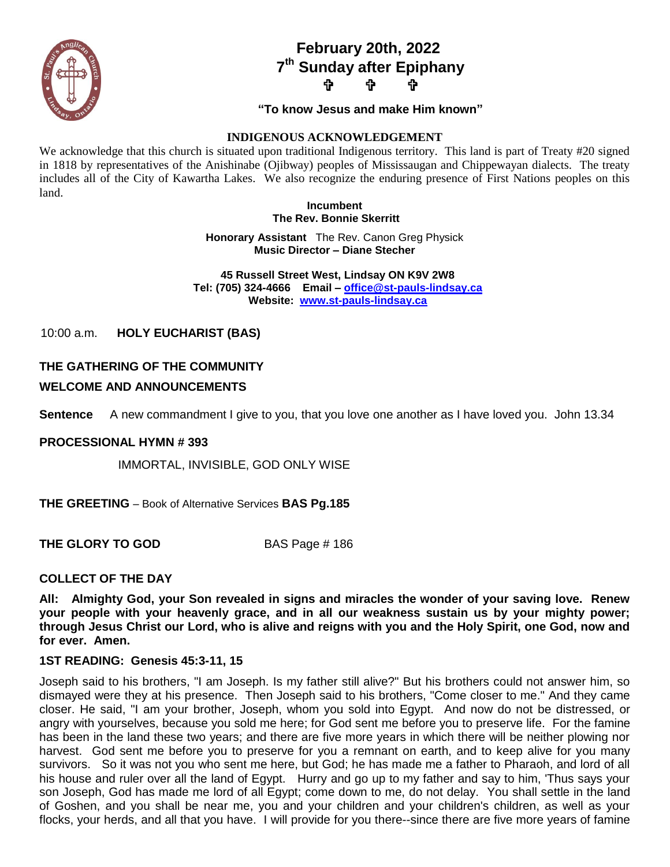

# **February 20th, 2022 7 th Sunday after Epiphany ታ ቀ**

### **"To know Jesus and make Him known"**

## **INDIGENOUS ACKNOWLEDGEMENT**

We acknowledge that this church is situated upon traditional Indigenous territory. This land is part of Treaty #20 signed in 1818 by representatives of the Anishinabe (Ojibway) peoples of Mississaugan and Chippewayan dialects. The treaty includes all of the City of Kawartha Lakes. We also recognize the enduring presence of First Nations peoples on this land.

> **Incumbent The Rev. Bonnie Skerritt**

**Honorary Assistant** The Rev. Canon Greg Physick **Music Director – Diane Stecher**

 **45 Russell Street West, Lindsay ON K9V 2W8 Tel: (705) 324-4666 Email – [office@st-pauls-lindsay.ca](mailto:office@st-pauls-lindsay.ca) Website: [www.st-pauls-lindsay.ca](http://www.st-pauls-lindsay.ca/)**

10:00 a.m. **HOLY EUCHARIST (BAS)** 

# **THE GATHERING OF THE COMMUNITY**

## **WELCOME AND ANNOUNCEMENTS**

**Sentence** A new commandment I give to you, that you love one another as I have loved you. John 13.34

### **PROCESSIONAL HYMN # 393**

IMMORTAL, INVISIBLE, GOD ONLY WISE

**THE GREETING** – Book of Alternative Services **BAS Pg.185**

**THE GLORY TO GOD** BAS Page # 186

### **COLLECT OF THE DAY**

**All: Almighty God, your Son revealed in signs and miracles the wonder of your saving love. Renew your people with your heavenly grace, and in all our weakness sustain us by your mighty power; through Jesus Christ our Lord, who is alive and reigns with you and the Holy Spirit, one God, now and for ever. Amen.**

### **1ST READING: Genesis 45:3-11, 15**

Joseph said to his brothers, "I am Joseph. Is my father still alive?" But his brothers could not answer him, so dismayed were they at his presence. Then Joseph said to his brothers, "Come closer to me." And they came closer. He said, "I am your brother, Joseph, whom you sold into Egypt. And now do not be distressed, or angry with yourselves, because you sold me here; for God sent me before you to preserve life. For the famine has been in the land these two years; and there are five more years in which there will be neither plowing nor harvest. God sent me before you to preserve for you a remnant on earth, and to keep alive for you many survivors. So it was not you who sent me here, but God; he has made me a father to Pharaoh, and lord of all his house and ruler over all the land of Egypt. Hurry and go up to my father and say to him, 'Thus says your son Joseph, God has made me lord of all Egypt; come down to me, do not delay. You shall settle in the land of Goshen, and you shall be near me, you and your children and your children's children, as well as your flocks, your herds, and all that you have. I will provide for you there--since there are five more years of famine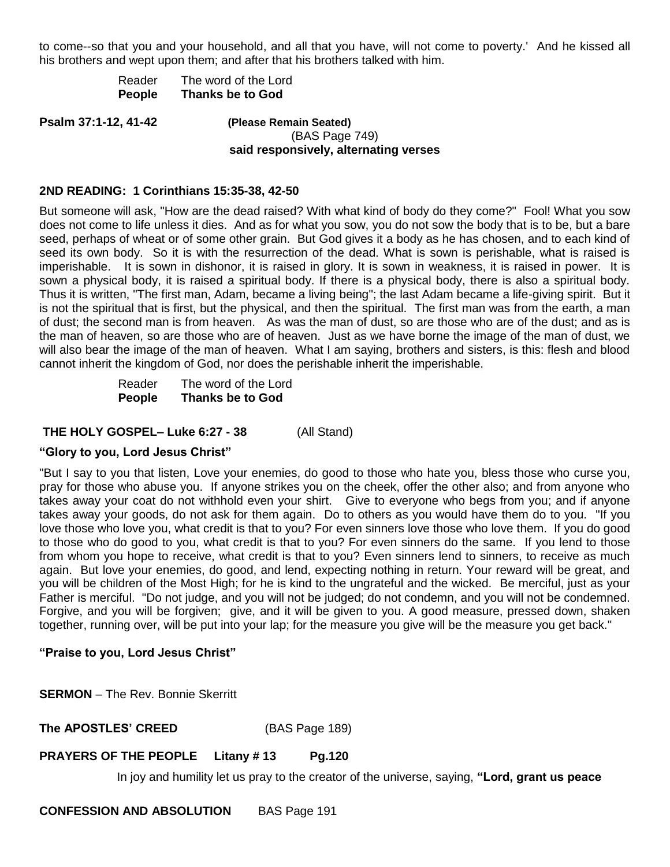to come--so that you and your household, and all that you have, will not come to poverty.' And he kissed all his brothers and wept upon them; and after that his brothers talked with him.

| Reader | The word of the Lord    |
|--------|-------------------------|
| People | <b>Thanks be to God</b> |

**Psalm 37:1-12, 41-42 (Please Remain Seated)**

(BAS Page 749) **said responsively, alternating verses**

## **2ND READING: 1 Corinthians 15:35-38, 42-50**

But someone will ask, "How are the dead raised? With what kind of body do they come?" Fool! What you sow does not come to life unless it dies. And as for what you sow, you do not sow the body that is to be, but a bare seed, perhaps of wheat or of some other grain. But God gives it a body as he has chosen, and to each kind of seed its own body. So it is with the resurrection of the dead. What is sown is perishable, what is raised is imperishable. It is sown in dishonor, it is raised in glory. It is sown in weakness, it is raised in power. It is sown a physical body, it is raised a spiritual body. If there is a physical body, there is also a spiritual body. Thus it is written, "The first man, Adam, became a living being"; the last Adam became a life-giving spirit. But it is not the spiritual that is first, but the physical, and then the spiritual. The first man was from the earth, a man of dust; the second man is from heaven. As was the man of dust, so are those who are of the dust; and as is the man of heaven, so are those who are of heaven. Just as we have borne the image of the man of dust, we will also bear the image of the man of heaven. What I am saying, brothers and sisters, is this: flesh and blood cannot inherit the kingdom of God, nor does the perishable inherit the imperishable.

> Reader The word of the Lord **People Thanks be to God**

### **THE HOLY GOSPEL– Luke 6:27 - 38** (All Stand)

### **"Glory to you, Lord Jesus Christ"**

"But I say to you that listen, Love your enemies, do good to those who hate you, bless those who curse you, pray for those who abuse you. If anyone strikes you on the cheek, offer the other also; and from anyone who takes away your coat do not withhold even your shirt. Give to everyone who begs from you; and if anyone takes away your goods, do not ask for them again. Do to others as you would have them do to you. "If you love those who love you, what credit is that to you? For even sinners love those who love them. If you do good to those who do good to you, what credit is that to you? For even sinners do the same. If you lend to those from whom you hope to receive, what credit is that to you? Even sinners lend to sinners, to receive as much again. But love your enemies, do good, and lend, expecting nothing in return. Your reward will be great, and you will be children of the Most High; for he is kind to the ungrateful and the wicked. Be merciful, just as your Father is merciful. "Do not judge, and you will not be judged; do not condemn, and you will not be condemned. Forgive, and you will be forgiven; give, and it will be given to you. A good measure, pressed down, shaken together, running over, will be put into your lap; for the measure you give will be the measure you get back."

### **"Praise to you, Lord Jesus Christ"**

**SERMON** – The Rev. Bonnie Skerritt

**The APOSTLES' CREED** (BAS Page 189)

### **PRAYERS OF THE PEOPLE Litany # 13 Pg.120**

In joy and humility let us pray to the creator of the universe, saying, **"Lord, grant us peace**

**CONFESSION AND ABSOLUTION** BAS Page 191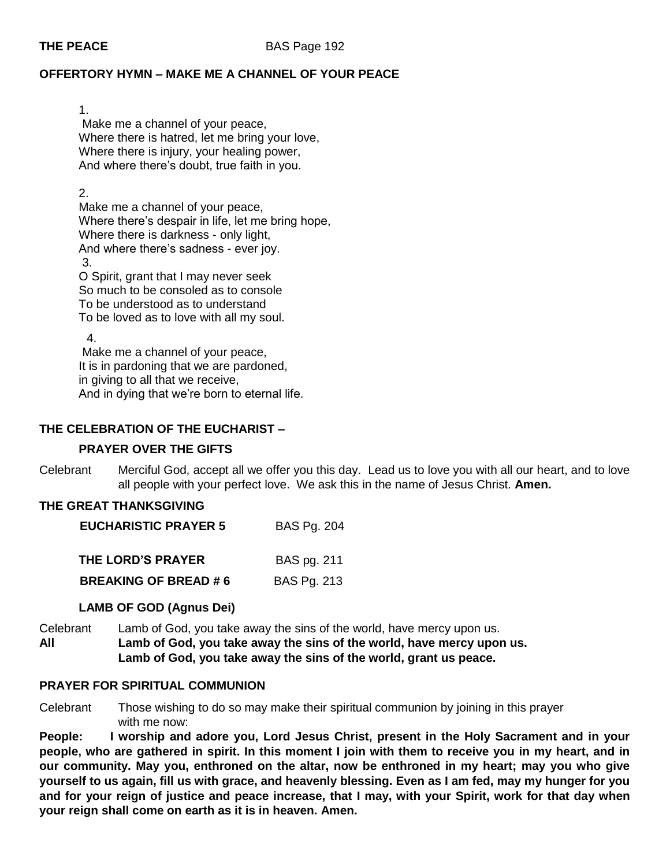# **OFFERTORY HYMN – MAKE ME A CHANNEL OF YOUR PEACE**

1. Make me a channel of your peace, Where there is hatred, let me bring your love, Where there is injury, your healing power, And where there's doubt, true faith in you.

2.

Make me a channel of your peace, Where there's despair in life, let me bring hope, Where there is darkness - only light, And where there's sadness - ever joy. 3.

O Spirit, grant that I may never seek So much to be consoled as to console To be understood as to understand To be loved as to love with all my soul.

4.

Make me a channel of your peace, It is in pardoning that we are pardoned, in giving to all that we receive, And in dying that we're born to eternal life.

# **THE CELEBRATION OF THE EUCHARIST –**

# **PRAYER OVER THE GIFTS**

Celebrant Merciful God, accept all we offer you this day. Lead us to love you with all our heart, and to love all people with your perfect love. We ask this in the name of Jesus Christ. **Amen.**

# **THE GREAT THANKSGIVING**

| <b>EUCHARISTIC PRAYER 5</b> | <b>BAS Pg. 204</b> |
|-----------------------------|--------------------|
|-----------------------------|--------------------|

| THE LORD'S PRAYER           | BAS pg. 211        |
|-----------------------------|--------------------|
| <b>BREAKING OF BREAD #6</b> | <b>BAS Pg. 213</b> |

# **LAMB OF GOD (Agnus Dei)**

Celebrant Lamb of God, you take away the sins of the world, have mercy upon us. **All Lamb of God, you take away the sins of the world, have mercy upon us. Lamb of God, you take away the sins of the world, grant us peace.** 

## **PRAYER FOR SPIRITUAL COMMUNION**

Celebrant Those wishing to do so may make their spiritual communion by joining in this prayer with me now:

**People: I worship and adore you, Lord Jesus Christ, present in the Holy Sacrament and in your people, who are gathered in spirit. In this moment I join with them to receive you in my heart, and in our community. May you, enthroned on the altar, now be enthroned in my heart; may you who give yourself to us again, fill us with grace, and heavenly blessing. Even as I am fed, may my hunger for you and for your reign of justice and peace increase, that I may, with your Spirit, work for that day when your reign shall come on earth as it is in heaven. Amen.**